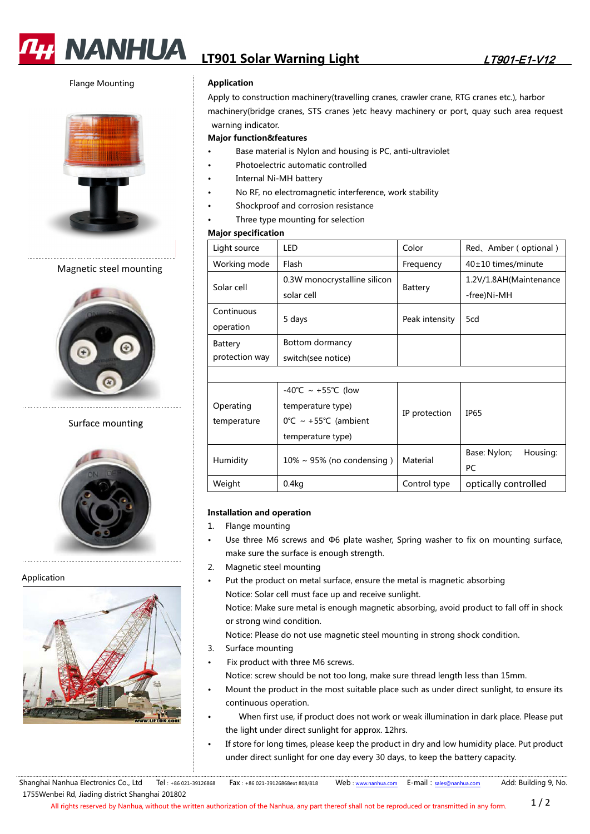

# **LT901 Solar Warning Light**  LT901-E1-V12

Flange Mounting



# Magnetic steel mounting



## Surface mounting



## Application



## **Application**

Apply to construction machinery(travelling cranes, crawler crane, RTG cranes etc.), harbor machinery(bridge cranes, STS cranes )etc heavy machinery or port, quay such area request warning indicator.

#### **Major function&features**

- Base material is Nylon and housing is PC, anti-ultraviolet
- Photoelectric automatic controlled
- Internal Ni-MH battery
- No RF, no electromagnetic interference, work stability
- Shockproof and corrosion resistance
- Three type mounting for selection

## **Major specification**

| Light source   | LED                          | Color          | Red, Amber (optional)  |
|----------------|------------------------------|----------------|------------------------|
| Working mode   | Flash                        | Frequency      | $40\pm10$ times/minute |
| Solar cell     | 0.3W monocrystalline silicon | Battery        | 1.2V/1.8AH(Maintenance |
|                | solar cell                   |                | -free)Ni-MH            |
| Continuous     | 5 days                       | Peak intensity | 5cd                    |
| operation      |                              |                |                        |
| Battery        | Bottom dormancy              |                |                        |
| protection way | switch(see notice)           |                |                        |
|                |                              |                |                        |
|                | $-40^{\circ}$ C ~ +55°C (low |                |                        |

| temperature | $0^{\circ}C \sim +55^{\circ}C$ (ambient | IP protection | IP65                     |
|-------------|-----------------------------------------|---------------|--------------------------|
|             | temperature type)                       |               |                          |
|             |                                         |               | Housing:<br>Base: Nylon; |
|             |                                         |               |                          |
| Humidity    | $10\% \sim 95\%$ (no condensing)        | Material      | РC                       |

#### **Installation and operation**

- 1. Flange mounting
- Use three M6 screws and Φ6 plate washer, Spring washer to fix on mounting surface, make sure the surface is enough strength.
- 2. Magnetic steel mounting
- Put the product on metal surface, ensure the metal is magnetic absorbing Notice: Solar cell must face up and receive sunlight. Notice: Make sure metal is enough magnetic absorbing, avoid product to fall off in shock or strong wind condition.

Notice: Please do not use magnetic steel mounting in strong shock condition.

- 3. Surface mounting
- Fix product with three M6 screws.
- Notice: screw should be not too long, make sure thread length less than 15mm.
- Mount the product in the most suitable place such as under direct sunlight, to ensure its continuous operation.
- When first use, if product does not work or weak illumination in dark place. Please put the light under direct sunlight for approx. 12hrs.
- If store for long times, please keep the product in dry and low humidity place. Put product under direct sunlight for one day every 30 days, to keep the battery capacity.

Shanghai Nanhua Electronics Co., Ltd Tel: +86 021-39126868 Fax: +86 021-39126868ext 808/818 Web: www.nanhua.com E-mail: sales@nanhua.com Add: Building 9, No. 1755Wenbei Rd, Jiading district Shanghai 201802

All rights reserved by Nanhua, without the written authorization of the Nanhua, any part thereof shall not be reproduced or transmitted in any form.  $1/2$